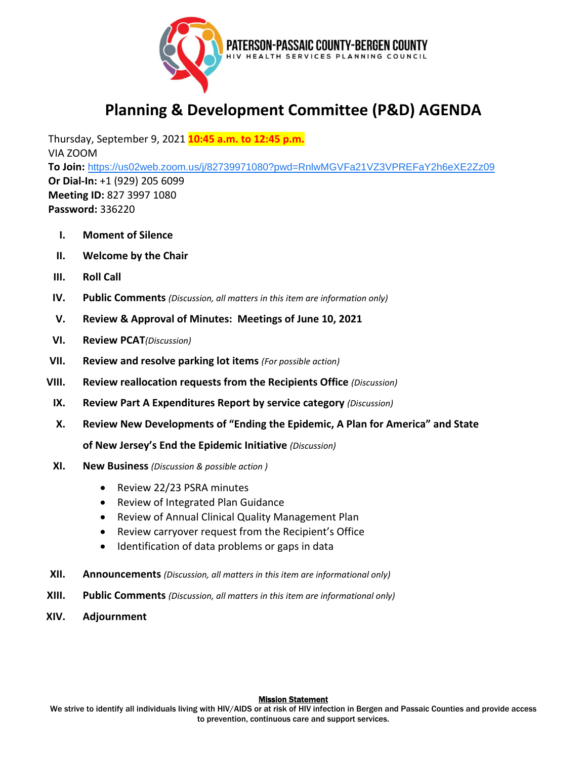

## **Planning & Development Committee (P&D) AGENDA**

Thursday, September 9, 2021 **10:45 a.m. to 12:45 p.m.** VIA ZOOM **To Join:** [https://us02web.zoom.us/j/82739971080?pwd=RnlwMGVFa21VZ3VPREFaY2h6eXE2Zz09](https://www.google.com/url?q=https://us02web.zoom.us/j/82739971080?pwd%3DRnlwMGVFa21VZ3VPREFaY2h6eXE2Zz09&sa=D&source=calendar&ust=1618154097217000&usg=AOvVaw01lKgY6kJYUZd8SB2WYPmr) **Or Dial-In:** +1 (929) 205 6099 **Meeting ID:** 827 3997 1080 **Password:** 336220

- **I. Moment of Silence**
- **II. Welcome by the Chair**
- **III. Roll Call**
- **IV. Public Comments** *(Discussion, all matters in this item are information only)*
- **V. Review & Approval of Minutes: Meetings of June 10, 2021**
- **VI. Review PCAT***(Discussion)*
- **VII. Review and resolve parking lot items** *(For possible action)*
- **VIII. Review reallocation requests from the Recipients Office** *(Discussion)*
	- **IX. Review Part A Expenditures Report by service category** *(Discussion)*
	- **X. Review New Developments of "Ending the Epidemic, A Plan for America" and State**

**of New Jersey's End the Epidemic Initiative** *(Discussion)*

- **XI. New Business** *(Discussion & possible action )*
	- Review 22/23 PSRA minutes
	- Review of Integrated Plan Guidance
	- Review of Annual Clinical Quality Management Plan
	- Review carryover request from the Recipient's Office
	- Identification of data problems or gaps in data
- **XII. Announcements** *(Discussion, all matters in this item are informational only)*
- **XIII. Public Comments** *(Discussion, all matters in this item are informational only)*
- **XIV. Adjournment**

## **Mission Statement**